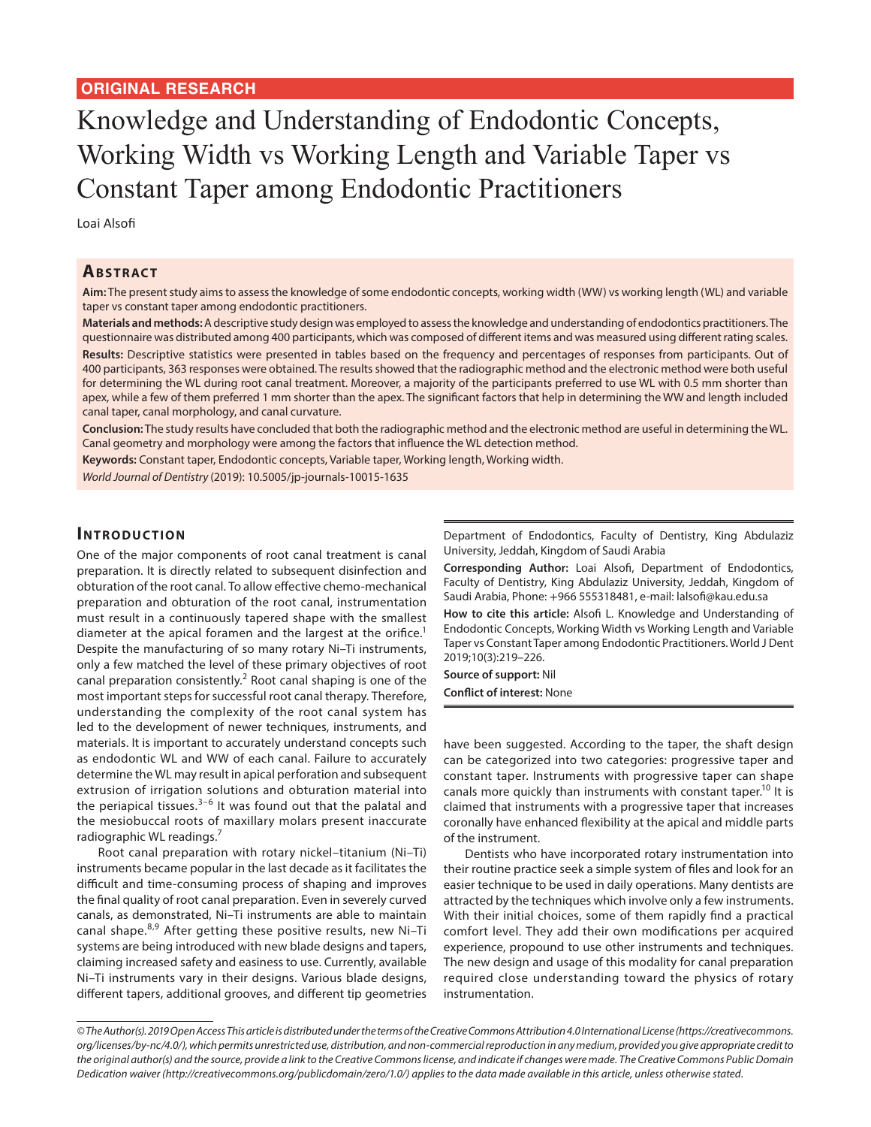# Knowledge and Understanding of Endodontic Concepts, Working Width vs Working Length and Variable Taper vs Constant Taper among Endodontic Practitioners

Loai Alsofi

## **ABSTRACT**

**Aim:** The present study aims to assess the knowledge of some endodontic concepts, working width (WW) vs working length (WL) and variable taper vs constant taper among endodontic practitioners.

**Materials and methods:** A descriptive study design was employed to assess the knowledge and understanding of endodontics practitioners. The questionnaire was distributed among 400 participants, which was composed of different items and was measured using different rating scales. **Results:** Descriptive statistics were presented in tables based on the frequency and percentages of responses from participants. Out of 400 participants, 363 responses were obtained. The results showed that the radiographic method and the electronic method were both useful for determining the WL during root canal treatment. Moreover, a majority of the participants preferred to use WL with 0.5 mm shorter than apex, while a few of them preferred 1 mm shorter than the apex. The significant factors that help in determining the WW and length included canal taper, canal morphology, and canal curvature.

**Conclusion:** The study results have concluded that both the radiographic method and the electronic method are useful in determining the WL. Canal geometry and morphology were among the factors that influence the WL detection method.

**Keywords:** Constant taper, Endodontic concepts, Variable taper, Working length, Working width.

*World Journal of Dentistry* (2019): 10.5005/jp-journals-10015-1635

# **INTRODUCTION**

One of the major components of root canal treatment is canal preparation. It is directly related to subsequent disinfection and obturation of the root canal. To allow effective chemo-mechanical preparation and obturation of the root canal, instrumentation must result in a continuously tapered shape with the smallest diameter at the apical foramen and the largest at the orifice.<sup>1</sup> Despite the manufacturing of so many rotary Ni–Ti instruments, only a few matched the level of these primary objectives of root canal preparation consistently.<sup>2</sup> Root canal shaping is one of the most important steps for successful root canal therapy. Therefore, understanding the complexity of the root canal system has led to the development of newer techniques, instruments, and materials. It is important to accurately understand concepts such as endodontic WL and WW of each canal. Failure to accurately determine the WL may result in apical perforation and subsequent extrusion of irrigation solutions and obturation material into the periapical tissues.<sup>3-6</sup> It was found out that the palatal and the mesiobuccal roots of maxillary molars present inaccurate radiographic WL readings.7

Root canal preparation with rotary nickel–titanium (Ni–Ti) instruments became popular in the last decade as it facilitates the difficult and time-consuming process of shaping and improves the final quality of root canal preparation. Even in severely curved canals, as demonstrated, Ni–Ti instruments are able to maintain canal shape.<sup>8,9</sup> After getting these positive results, new Ni–Ti systems are being introduced with new blade designs and tapers, claiming increased safety and easiness to use. Currently, available Ni–Ti instruments vary in their designs. Various blade designs, different tapers, additional grooves, and different tip geometries

Department of Endodontics, Faculty of Dentistry, King Abdulaziz University, Jeddah, Kingdom of Saudi Arabia

**Corresponding Author:** Loai Alsofi, Department of Endodontics, Faculty of Dentistry, King Abdulaziz University, Jeddah, Kingdom of Saudi Arabia, Phone: +966 555318481, e-mail: lalsofi@kau.edu.sa

**How to cite this article:** Alsofi L. Knowledge and Understanding of Endodontic Concepts, Working Width vs Working Length and Variable Taper vs Constant Taper among Endodontic Practitioners. World J Dent 2019;10(3):219–226.

**Source of support:** Nil **Conflict of interest:** None

have been suggested. According to the taper, the shaft design can be categorized into two categories: progressive taper and constant taper. Instruments with progressive taper can shape canals more quickly than instruments with constant taper.<sup>10</sup> It is claimed that instruments with a progressive taper that increases coronally have enhanced flexibility at the apical and middle parts of the instrument.

Dentists who have incorporated rotary instrumentation into their routine practice seek a simple system of files and look for an easier technique to be used in daily operations. Many dentists are attracted by the techniques which involve only a few instruments. With their initial choices, some of them rapidly find a practical comfort level. They add their own modifications per acquired experience, propound to use other instruments and techniques. The new design and usage of this modality for canal preparation required close understanding toward the physics of rotary instrumentation.

*<sup>©</sup> The Author(s). 2019 Open Access This article is distributed under the terms of the Creative Commons Attribution 4.0 International License (https://creativecommons. org/licenses/by-nc/4.0/), which permits unrestricted use, distribution, and non-commercial reproduction in any medium, provided you give appropriate credit to the original author(s) and the source, provide a link to the Creative Commons license, and indicate if changes were made. The Creative Commons Public Domain Dedication waiver (http://creativecommons.org/publicdomain/zero/1.0/) applies to the data made available in this article, unless otherwise stated.*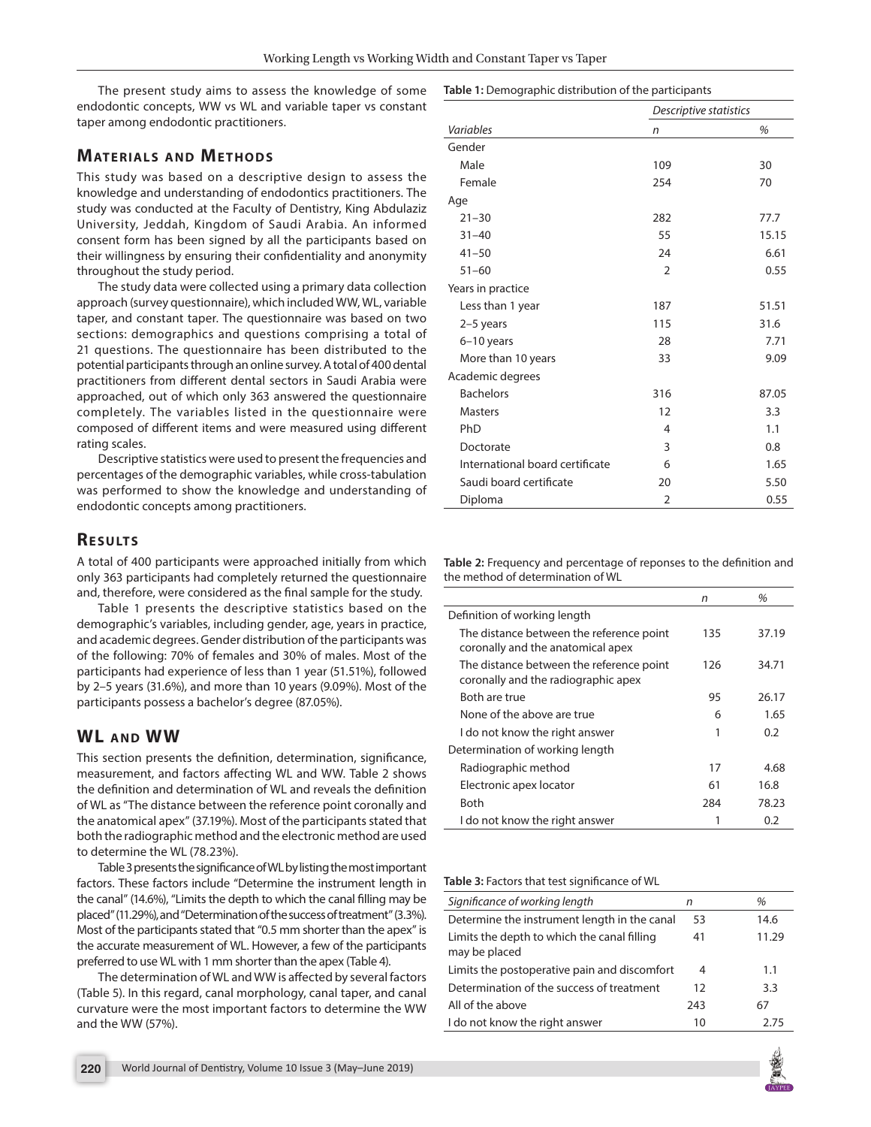The present study aims to assess the knowledge of some endodontic concepts, WW vs WL and variable taper vs constant taper among endodontic practitioners.

# **MATERIALS AND METHODS**

This study was based on a descriptive design to assess the knowledge and understanding of endodontics practitioners. The study was conducted at the Faculty of Dentistry, King Abdulaziz University, Jeddah, Kingdom of Saudi Arabia. An informed consent form has been signed by all the participants based on their willingness by ensuring their confidentiality and anonymity throughout the study period.

The study data were collected using a primary data collection approach (survey questionnaire), which included WW, WL, variable taper, and constant taper. The questionnaire was based on two sections: demographics and questions comprising a total of 21 questions. The questionnaire has been distributed to the potential participants through an online survey. A total of 400 dental practitioners from different dental sectors in Saudi Arabia were approached, out of which only 363 answered the questionnaire completely. The variables listed in the questionnaire were composed of different items and were measured using different rating scales.

Descriptive statistics were used to present the frequencies and percentages of the demographic variables, while cross-tabulation was performed to show the knowledge and understanding of endodontic concepts among practitioners.

# **RESULTS**

A total of 400 participants were approached initially from which only 363 participants had completely returned the questionnaire and, therefore, were considered as the final sample for the study.

Table 1 presents the descriptive statistics based on the demographic's variables, including gender, age, years in practice, and academic degrees. Gender distribution of the participants was of the following: 70% of females and 30% of males. Most of the participants had experience of less than 1 year (51.51%), followed by 2–5 years (31.6%), and more than 10 years (9.09%). Most of the participants possess a bachelor's degree (87.05%).

# **WL** AND WW

This section presents the definition, determination, significance, measurement, and factors affecting WL and WW. Table 2 shows the definition and determination of WL and reveals the definition of WL as "The distance between the reference point coronally and the anatomical apex" (37.19%). Most of the participants stated that both the radiographic method and the electronic method are used to determine the WL (78.23%).

Table 3 presents the significance of WL by listing the most important factors. These factors include "Determine the instrument length in the canal" (14.6%), "Limits the depth to which the canal filling may be placed" (11.29%), and "Determination of the success of treatment" (3.3%). Most of the participants stated that "0.5 mm shorter than the apex" is the accurate measurement of WL. However, a few of the participants preferred to use WL with 1 mm shorter than the apex (Table 4).

The determination of WL and WW is affected by several factors (Table 5). In this regard, canal morphology, canal taper, and canal curvature were the most important factors to determine the WW and the WW (57%).

|                                 | Descriptive statistics |       |
|---------------------------------|------------------------|-------|
| Variables                       | n                      | %     |
| Gender                          |                        |       |
| Male                            | 109                    | 30    |
| Female                          | 254                    | 70    |
| Age                             |                        |       |
| $21 - 30$                       | 282                    | 77.7  |
| $31 - 40$                       | 55                     | 15.15 |
| $41 - 50$                       | 24                     | 6.61  |
| $51 - 60$                       | $\overline{2}$         | 0.55  |
| Years in practice               |                        |       |
| Less than 1 year                | 187                    | 51.51 |
| $2-5$ years                     | 115                    | 31.6  |
| 6-10 years                      | 28                     | 7.71  |
| More than 10 years              | 33                     | 9.09  |
| Academic degrees                |                        |       |
| <b>Bachelors</b>                | 316                    | 87.05 |
| <b>Masters</b>                  | 12                     | 3.3   |
| PhD                             | 4                      | 1.1   |
| Doctorate                       | 3                      | 0.8   |
| International board certificate | 6                      | 1.65  |
| Saudi board certificate         | 20                     | 5.50  |

**Table 1:** Demographic distribution of the participants

**Table 2:** Frequency and percentage of reponses to the definition and the method of determination of WL

Diploma 2 0.55

|                                                                                 | n   | %     |
|---------------------------------------------------------------------------------|-----|-------|
| Definition of working length                                                    |     |       |
| The distance between the reference point<br>coronally and the anatomical apex   | 135 | 37.19 |
| The distance between the reference point<br>coronally and the radiographic apex | 126 | 34.71 |
| Both are true                                                                   | 95  | 26.17 |
| None of the above are true                                                      | 6   | 1.65  |
| I do not know the right answer                                                  | 1   | 0.2   |
| Determination of working length                                                 |     |       |
| Radiographic method                                                             | 17  | 4.68  |
| Electronic apex locator                                                         | 61  | 16.8  |
| Both                                                                            | 284 | 78.23 |
| I do not know the right answer                                                  |     | 0.2   |

#### **Table 3:** Factors that test significance of WL

| Significance of working length                               | n   | %     |
|--------------------------------------------------------------|-----|-------|
| Determine the instrument length in the canal                 | 53  | 14.6  |
| Limits the depth to which the canal filling<br>may be placed | 41  | 11.29 |
| Limits the postoperative pain and discomfort                 | 4   | 1.1   |
| Determination of the success of treatment                    | 12  | 3.3   |
| All of the above                                             | 243 | 67    |
| I do not know the right answer                               | 10  | 2.75  |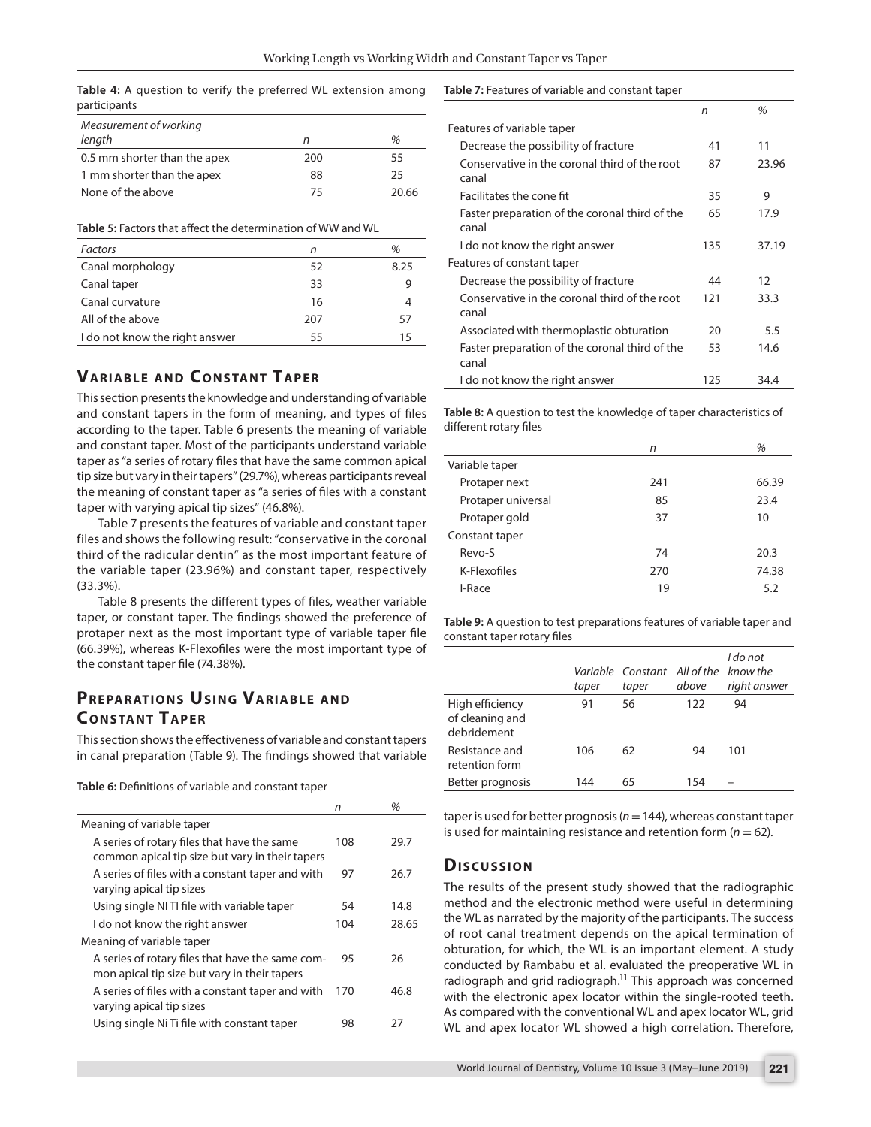**Table 4:** A question to verify the preferred WL extension among participants

| Measurement of working       |     |       |
|------------------------------|-----|-------|
| length                       | n   | %     |
| 0.5 mm shorter than the apex | 200 | 55    |
| 1 mm shorter than the apex   | 88  | 25    |
| None of the above            | 75  | 20.66 |

**Table 5:** Factors that affect the determination of WW and WL

| <b>Factors</b>                 | n   | %    |
|--------------------------------|-----|------|
| Canal morphology               | 52  | 8.25 |
| Canal taper                    | 33  | 9    |
| Canal curvature                | 16  | 4    |
| All of the above               | 207 | 57   |
| I do not know the right answer | 55  | 15   |
|                                |     |      |

# **VARIABLE AND CONSTANT TAPER**

This section presents the knowledge and understanding of variable and constant tapers in the form of meaning, and types of files according to the taper. Table 6 presents the meaning of variable and constant taper. Most of the participants understand variable taper as "a series of rotary files that have the same common apical tip size but vary in their tapers" (29.7%), whereas participants reveal the meaning of constant taper as "a series of files with a constant taper with varying apical tip sizes" (46.8%).

Table 7 presents the features of variable and constant taper files and shows the following result: "conservative in the coronal third of the radicular dentin" as the most important feature of the variable taper (23.96%) and constant taper, respectively (33.3%).

Table 8 presents the different types of files, weather variable taper, or constant taper. The findings showed the preference of protaper next as the most important type of variable taper file (66.39%), whereas K-Flexofiles were the most important type of the constant taper file (74.38%).

# **PREPARATIONS USING VARIABLE AND CONSTANT TAPER**

This section shows the effectiveness of variable and constant tapers in canal preparation (Table 9). The findings showed that variable

**Table 6:** Definitions of variable and constant taper

|                                                                                                  | n   | %     |
|--------------------------------------------------------------------------------------------------|-----|-------|
| Meaning of variable taper                                                                        |     |       |
| A series of rotary files that have the same<br>common apical tip size but vary in their tapers   | 108 | 29.7  |
| A series of files with a constant taper and with<br>varying apical tip sizes                     | 97  | 26.7  |
| Using single NITI file with variable taper                                                       | 54  | 14.8  |
| I do not know the right answer                                                                   | 104 | 28.65 |
| Meaning of variable taper                                                                        |     |       |
| A series of rotary files that have the same com-<br>mon apical tip size but vary in their tapers | 95  | 26    |
| A series of files with a constant taper and with<br>varying apical tip sizes                     | 170 | 46.8  |
| Using single Ni Ti file with constant taper                                                      | 98  | 27    |

**Table 7:** Features of variable and constant taper

|                                                         | n   | %     |
|---------------------------------------------------------|-----|-------|
| Features of variable taper                              |     |       |
| Decrease the possibility of fracture                    | 41  | 11    |
| Conservative in the coronal third of the root<br>canal  | 87  | 23.96 |
| Facilitates the cone fit                                | 35  | 9     |
| Faster preparation of the coronal third of the<br>canal | 65  | 17.9  |
| I do not know the right answer                          | 135 | 37.19 |
| Features of constant taper                              |     |       |
| Decrease the possibility of fracture                    | 44  | 12    |
| Conservative in the coronal third of the root<br>canal  | 121 | 33.3  |
| Associated with thermoplastic obturation                | 20  | 5.5   |
| Faster preparation of the coronal third of the<br>canal | 53  | 14.6  |
| I do not know the right answer                          | 125 | 34.4  |

**Table 8:** A question to test the knowledge of taper characteristics of different rotary files

|                    | n   | %     |
|--------------------|-----|-------|
| Variable taper     |     |       |
| Protaper next      | 241 | 66.39 |
| Protaper universal | 85  | 23.4  |
| Protaper gold      | 37  | 10    |
| Constant taper     |     |       |
| Revo-S             | 74  | 20.3  |
| K-Flexofiles       | 270 | 74.38 |
| I-Race             | 19  | 5.2   |

**Table 9:** A question to test preparations features of variable taper and constant taper rotary files

|                                                   | taper | Variable Constant All of the<br>taper | above | I do not<br>know the<br>right answer |
|---------------------------------------------------|-------|---------------------------------------|-------|--------------------------------------|
| High efficiency<br>of cleaning and<br>debridement | 91    | 56                                    | 122   | 94                                   |
| Resistance and<br>retention form                  | 106   | 62                                    | 94    | 101                                  |
| Better prognosis                                  | 144   | 65                                    | 154   |                                      |

taper is used for better prognosis (*n*= 144), whereas constant taper is used for maintaining resistance and retention form  $(n = 62)$ .

## **Dis c u s sio n**

The results of the present study showed that the radiographic method and the electronic method were useful in determining the WL as narrated by the majority of the participants. The success of root canal treatment depends on the apical termination of obturation, for which, the WL is an important element. A study conducted by Rambabu et al. evaluated the preoperative WL in radiograph and grid radiograph.<sup>11</sup> This approach was concerned with the electronic apex locator within the single-rooted teeth. As compared with the conventional WL and apex locator WL, grid WL and apex locator WL showed a high correlation. Therefore,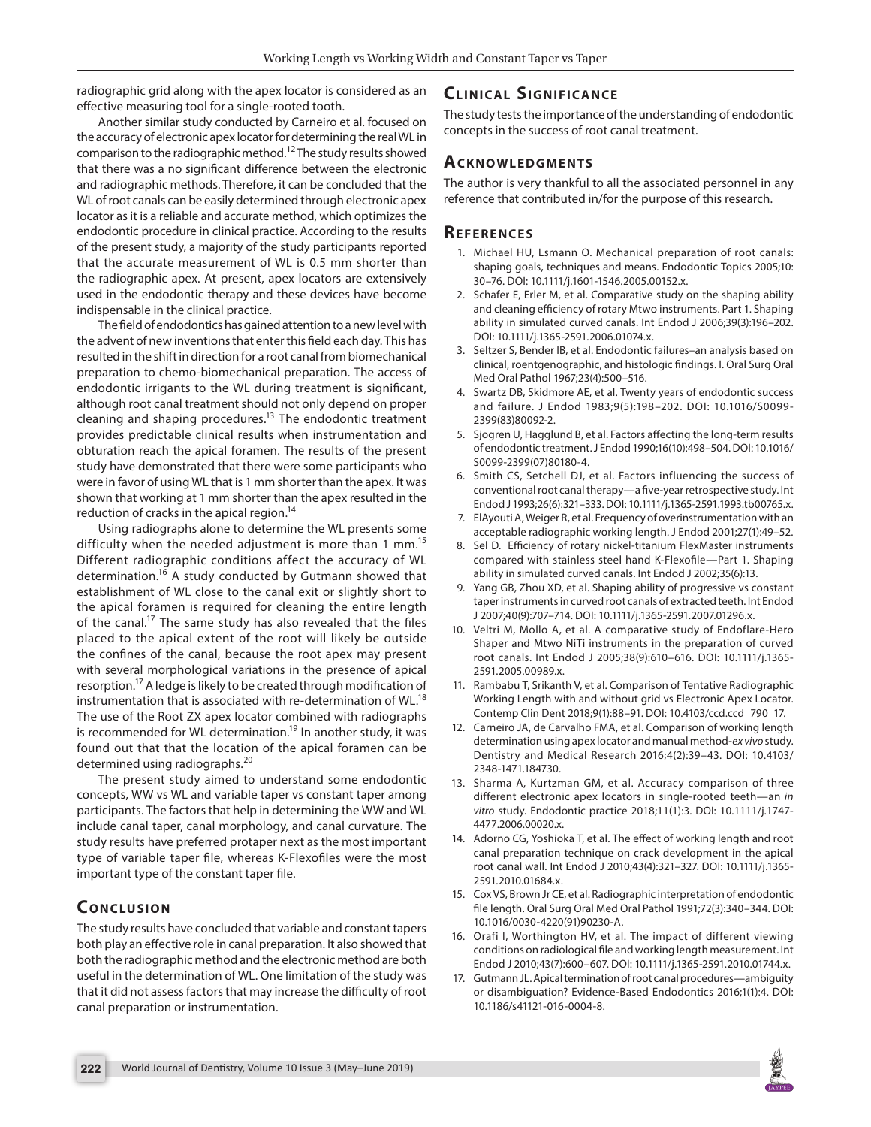radiographic grid along with the apex locator is considered as an effective measuring tool for a single-rooted tooth.

## Another similar study conducted by Carneiro et al. focused on the accuracy of electronic apex locator for determining the real WL in comparison to the radiographic method.12 The study results showed that there was a no significant difference between the electronic and radiographic methods. Therefore, it can be concluded that the WL of root canals can be easily determined through electronic apex locator as it is a reliable and accurate method, which optimizes the endodontic procedure in clinical practice. According to the results of the present study, a majority of the study participants reported that the accurate measurement of WL is 0.5 mm shorter than the radiographic apex. At present, apex locators are extensively used in the endodontic therapy and these devices have become

indispensable in the clinical practice. The field of endodontics has gained attention to a new level with the advent of new inventions that enter this field each day. This has resulted in the shift in direction for a root canal from biomechanical preparation to chemo-biomechanical preparation. The access of endodontic irrigants to the WL during treatment is significant, although root canal treatment should not only depend on proper cleaning and shaping procedures.<sup>13</sup> The endodontic treatment provides predictable clinical results when instrumentation and obturation reach the apical foramen. The results of the present study have demonstrated that there were some participants who were in favor of using WL that is 1 mm shorter than the apex. It was shown that working at 1 mm shorter than the apex resulted in the reduction of cracks in the apical region.<sup>14</sup>

Using radiographs alone to determine the WL presents some difficulty when the needed adjustment is more than 1 mm.<sup>15</sup> Different radiographic conditions affect the accuracy of WL determination.<sup>16</sup> A study conducted by Gutmann showed that establishment of WL close to the canal exit or slightly short to the apical foramen is required for cleaning the entire length of the canal.<sup>17</sup> The same study has also revealed that the files placed to the apical extent of the root will likely be outside the confines of the canal, because the root apex may present with several morphological variations in the presence of apical resorption.<sup>17</sup> A ledge is likely to be created through modification of instrumentation that is associated with re-determination of WL.<sup>18</sup> The use of the Root ZX apex locator combined with radiographs is recommended for WL determination.<sup>19</sup> In another study, it was found out that that the location of the apical foramen can be determined using radiographs.<sup>20</sup>

The present study aimed to understand some endodontic concepts, WW vs WL and variable taper vs constant taper among participants. The factors that help in determining the WW and WL include canal taper, canal morphology, and canal curvature. The study results have preferred protaper next as the most important type of variable taper file, whereas K-Flexofiles were the most important type of the constant taper file.

# **CONCLUSION**

The study results have concluded that variable and constant tapers both play an effective role in canal preparation. It also showed that both the radiographic method and the electronic method are both useful in the determination of WL. One limitation of the study was that it did not assess factors that may increase the difficulty of root canal preparation or instrumentation.

# **CLINICAL SIGNIFICANCE**

The study tests the importance of the understanding of endodontic concepts in the success of root canal treatment.

# **ACKNOWLEDGMENTS**

The author is very thankful to all the associated personnel in any reference that contributed in/for the purpose of this research.

## **Re f e r e n c e s**

- 1. Michael HU, Lsmann O. Mechanical preparation of root canals: shaping goals, techniques and means. Endodontic Topics 2005;10: 30–76. DOI: 10.1111/j.1601-1546.2005.00152.x.
- 2. Schafer E, Erler M, et al. Comparative study on the shaping ability and cleaning efficiency of rotary Mtwo instruments. Part 1. Shaping ability in simulated curved canals. Int Endod J 2006;39(3):196–202. DOI: 10.1111/j.1365-2591.2006.01074.x.
- 3. Seltzer S, Bender IB, et al. Endodontic failures–an analysis based on clinical, roentgenographic, and histologic findings. I. Oral Surg Oral Med Oral Pathol 1967;23(4):500–516.
- 4. Swartz DB, Skidmore AE, et al. Twenty years of endodontic success and failure. J Endod 1983;9(5):198–202. DOI: 10.1016/S0099- 2399(83)80092-2.
- 5. Sjogren U, Hagglund B, et al. Factors affecting the long-term results of endodontic treatment. J Endod 1990;16(10):498–504. DOI: 10.1016/ S0099-2399(07)80180-4.
- 6. Smith CS, Setchell DJ, et al. Factors influencing the success of conventional root canal therapy—a five-year retrospective study. Int Endod J 1993;26(6):321–333. DOI: 10.1111/j.1365-2591.1993.tb00765.x.
- 7. ElAyouti A, Weiger R, et al. Frequency of overinstrumentation with an acceptable radiographic working length. J Endod 2001;27(1):49–52.
- 8. Sel D. Efficiency of rotary nickel-titanium FlexMaster instruments compared with stainless steel hand K-Flexofile—Part 1. Shaping ability in simulated curved canals. Int Endod J 2002;35(6):13.
- 9. Yang GB, Zhou XD, et al. Shaping ability of progressive vs constant taper instruments in curved root canals of extracted teeth. Int Endod J 2007;40(9):707–714. DOI: 10.1111/j.1365-2591.2007.01296.x.
- 10. Veltri M, Mollo A, et al. A comparative study of Endoflare-Hero Shaper and Mtwo NiTi instruments in the preparation of curved root canals. Int Endod J 2005;38(9):610–616. DOI: 10.1111/j.1365- 2591.2005.00989.x.
- 11. Rambabu T, Srikanth V, et al. Comparison of Tentative Radiographic Working Length with and without grid vs Electronic Apex Locator. Contemp Clin Dent 2018;9(1):88–91. DOI: 10.4103/ccd.ccd\_790\_17.
- 12. Carneiro JA, de Carvalho FMA, et al. Comparison of working length determination using apex locator and manual method-*ex vivo* study. Dentistry and Medical Research 2016;4(2):39–43. DOI: 10.4103/ 2348-1471.184730.
- 13. Sharma A, Kurtzman GM, et al. Accuracy comparison of three different electronic apex locators in single-rooted teeth—an *in vitro* study. Endodontic practice 2018;11(1):3. DOI: 10.1111/j.1747- 4477.2006.00020.x.
- 14. Adorno CG, Yoshioka T, et al. The effect of working length and root canal preparation technique on crack development in the apical root canal wall. Int Endod J 2010;43(4):321–327. DOI: 10.1111/j.1365- 2591.2010.01684.x.
- 15. Cox VS, Brown Jr CE, et al. Radiographic interpretation of endodontic file length. Oral Surg Oral Med Oral Pathol 1991;72(3):340–344. DOI: 10.1016/0030-4220(91)90230-A.
- 16. Orafi I, Worthington HV, et al. The impact of different viewing conditions on radiological file and working length measurement. Int Endod J 2010;43(7):600–607. DOI: 10.1111/j.1365-2591.2010.01744.x.
- 17. Gutmann JL. Apical termination of root canal procedures—ambiguity or disambiguation? Evidence-Based Endodontics 2016;1(1):4. DOI: 10.1186/s41121-016-0004-8.

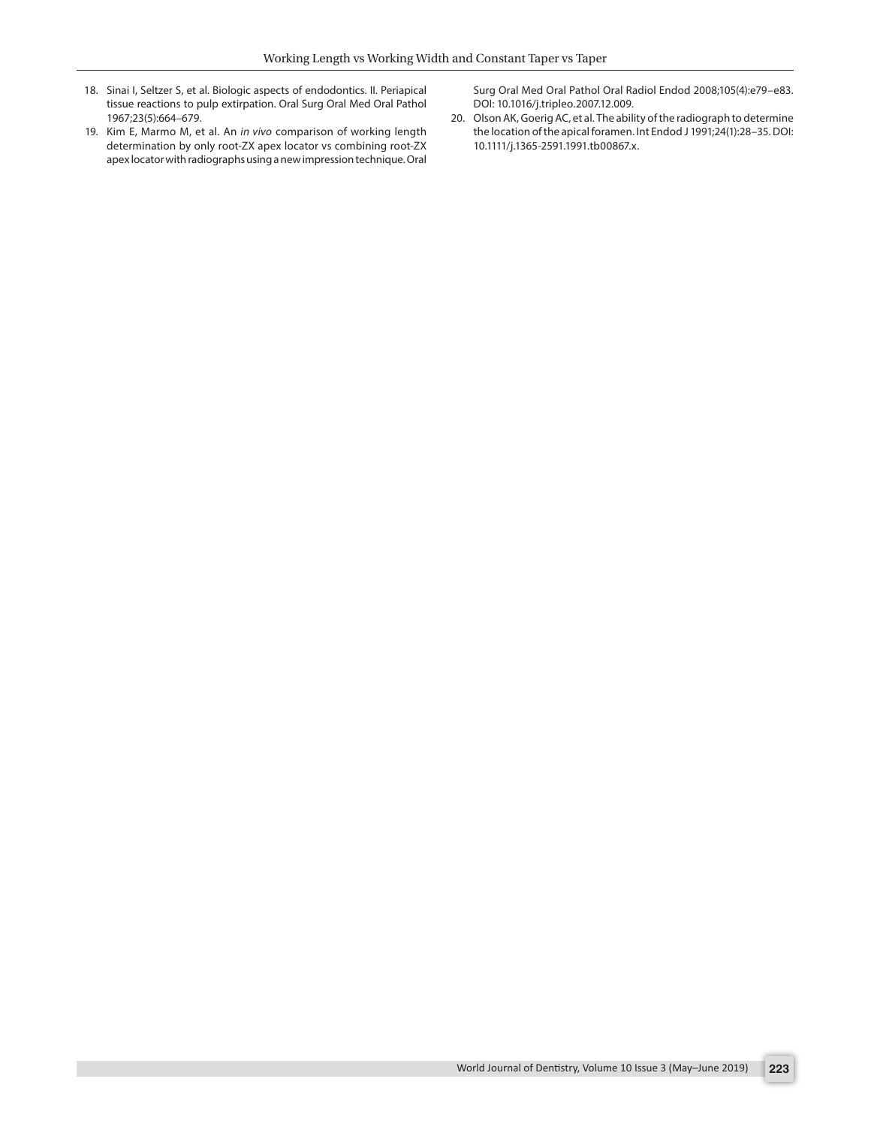- 18. Sinai I, Seltzer S, et al. Biologic aspects of endodontics. II. Periapical tissue reactions to pulp extirpation. Oral Surg Oral Med Oral Pathol 1967;23(5):664–679.
- 19. Kim E, Marmo M, et al. An *in vivo* comparison of working length determination by only root-ZX apex locator vs combining root-ZX apex locator with radiographs using a new impression technique. Oral

Surg Oral Med Oral Pathol Oral Radiol Endod 2008;105(4):e79–e83. DOI: 10.1016/j.tripleo.2007.12.009.

20. Olson AK, Goerig AC, et al. The ability of the radiograph to determine the location of the apical foramen. Int Endod J 1991;24(1):28–35. DOI: 10.1111/j.1365-2591.1991.tb00867.x.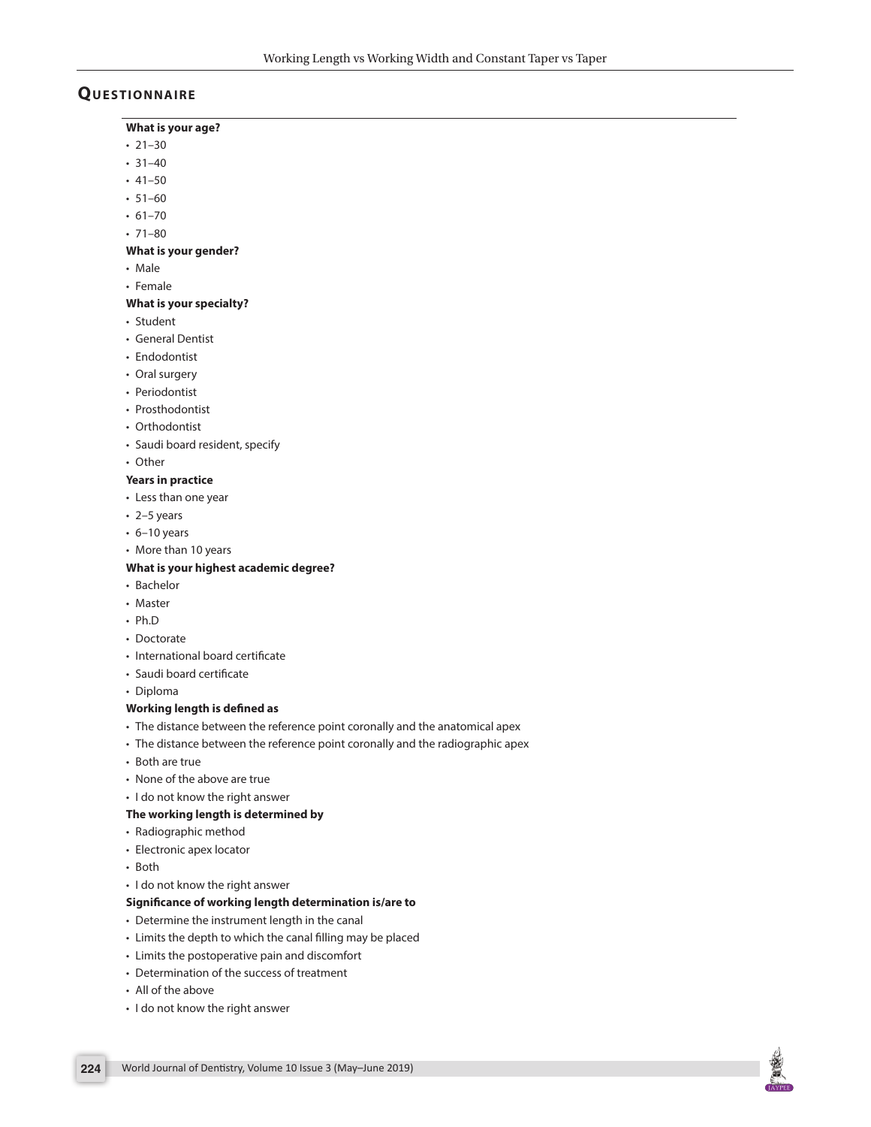# **QUESTIONNAIRE**

#### **What is your age?**

- 21–30
- $31-40$
- 41–50
- 51–60
- $\cdot$  61–70
- 71–80

#### **What is your gender?**

- Male
- Female

#### **What is your specialty?**

- Student
- General Dentist
- Endodontist
- Oral surgery
- Periodontist
- Prosthodontist
- Orthodontist
- Saudi board resident, specify
- Other

#### **Years in practice**

- Less than one year
- 2–5 years
- 6–10 years
- More than 10 years

#### **What is your highest academic degree?**

- Bachelor
- Master
- Ph.D
- Doctorate
- International board certificate
- Saudi board certificate
- Diploma

#### **Working length is defined as**

- The distance between the reference point coronally and the anatomical apex
- The distance between the reference point coronally and the radiographic apex
- Both are true
- None of the above are true
- I do not know the right answer
- **The working length is determined by**
- Radiographic method
- Electronic apex locator
- Both
- I do not know the right answer

#### **Significance of working length determination is/are to**

- Determine the instrument length in the canal
- Limits the depth to which the canal filling may be placed
- Limits the postoperative pain and discomfort
- Determination of the success of treatment
- All of the above
- I do not know the right answer

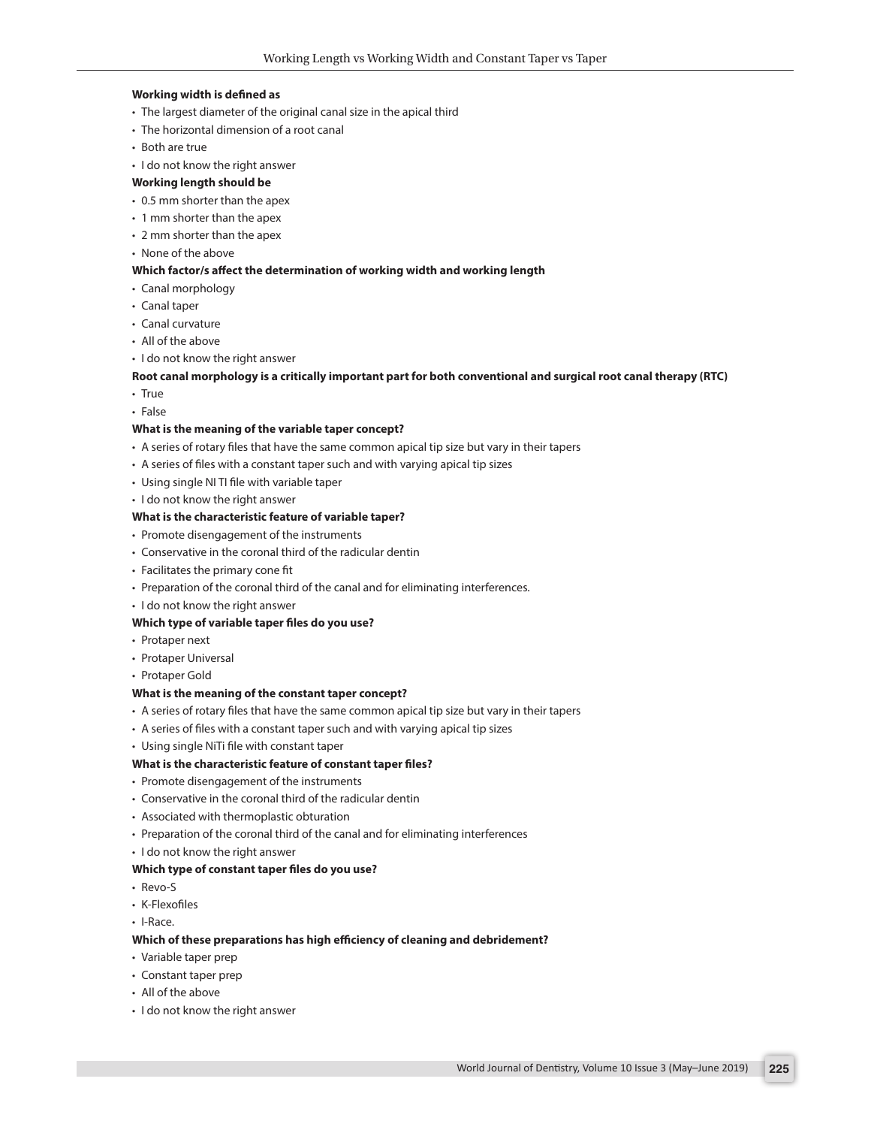#### **Working width is defined as**

- The largest diameter of the original canal size in the apical third
- The horizontal dimension of a root canal
- Both are true
- I do not know the right answer

#### **Working length should be**

- 0.5 mm shorter than the apex
- 1 mm shorter than the apex
- 2 mm shorter than the apex
- None of the above

#### **Which factor/s affect the determination of working width and working length**

- Canal morphology
- Canal taper
- Canal curvature
- All of the above
- I do not know the right answer

#### **Root canal morphology is a critically important part for both conventional and surgical root canal therapy (RTC)**

- True
- False

### **What is the meaning of the variable taper concept?**

- A series of rotary files that have the same common apical tip size but vary in their tapers
- A series of files with a constant taper such and with varying apical tip sizes
- Using single NI TI file with variable taper
- I do not know the right answer

#### **What is the characteristic feature of variable taper?**

- Promote disengagement of the instruments
- Conservative in the coronal third of the radicular dentin
- Facilitates the primary cone fit
- Preparation of the coronal third of the canal and for eliminating interferences.
- I do not know the right answer

#### **Which type of variable taper files do you use?**

- Protaper next
- Protaper Universal
- Protaper Gold

#### **What is the meaning of the constant taper concept?**

- A series of rotary files that have the same common apical tip size but vary in their tapers
- A series of files with a constant taper such and with varying apical tip sizes
- Using single NiTi file with constant taper

#### **What is the characteristic feature of constant taper files?**

- Promote disengagement of the instruments
- Conservative in the coronal third of the radicular dentin
- Associated with thermoplastic obturation
- Preparation of the coronal third of the canal and for eliminating interferences
- I do not know the right answer

#### **Which type of constant taper files do you use?**

- Revo-S
- K-Flexofiles
- I-Race.

#### **Which of these preparations has high efficiency of cleaning and debridement?**

- Variable taper prep
- Constant taper prep
- All of the above
- I do not know the right answer